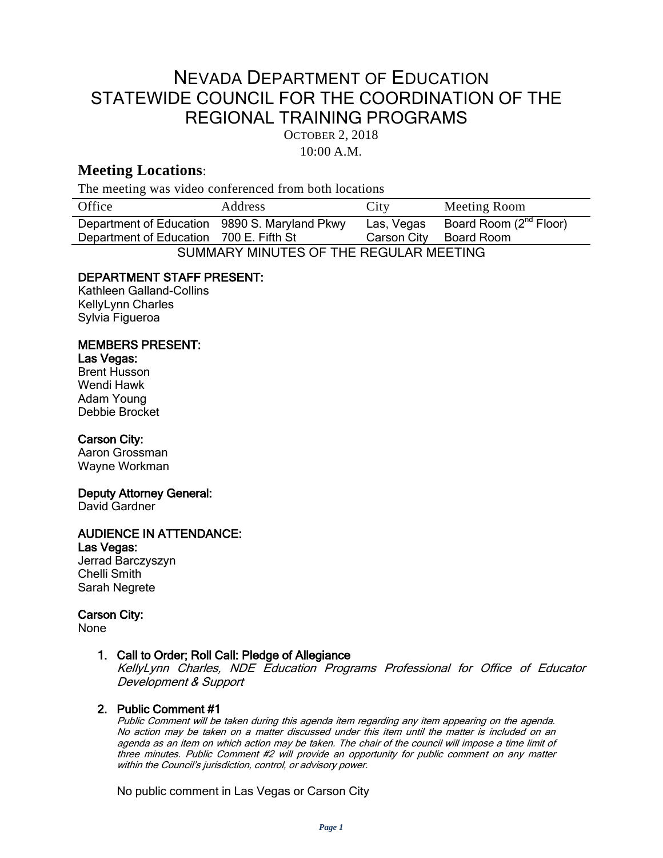# NEVADA DEPARTMENT OF EDUCATION STATEWIDE COUNCIL FOR THE COORDINATION OF THE REGIONAL TRAINING PROGRAMS

OCTOBER 2, 2018

10:00 A.M.

# **Meeting Locations**:

The meeting was video conferenced from both locations

| Office                                        | Address | City        | Meeting Room                       |
|-----------------------------------------------|---------|-------------|------------------------------------|
| Department of Education 9890 S. Maryland Pkwy |         | Las, Vegas  | Board Room (2 <sup>nd</sup> Floor) |
| Department of Education 700 E. Fifth St       |         | Carson City | Board Room                         |
| SUMMARY MINUTES OF THE REGULAR MEETING        |         |             |                                    |

# DEPARTMENT STAFF PRESENT:

Kathleen Galland-Collins KellyLynn Charles Sylvia Figueroa

# MEMBERS PRESENT:

### Las Vegas:

Brent Husson Wendi Hawk Adam Young Debbie Brocket

#### Carson City:

Aaron Grossman Wayne Workman

#### Deputy Attorney General:

David Gardner

# AUDIENCE IN ATTENDANCE:

Las Vegas: Jerrad Barczyszyn Chelli Smith Sarah Negrete

#### Carson City:

None

### 1. Call to Order; Roll Call: Pledge of Allegiance

KellyLynn Charles, NDE Education Programs Professional for Office of Educator Development & Support

#### 2. Public Comment #1

Public Comment will be taken during this agenda item regarding any item appearing on the agenda. No action may be taken on a matter discussed under this item until the matter is included on an agenda as an item on which action may be taken. The chair of the council will impose <sup>a</sup> time limit of three minutes. Public Comment #2 will provide an opportunity for public comment on any matter within the Council's jurisdiction, control, or advisory power.

No public comment in Las Vegas or Carson City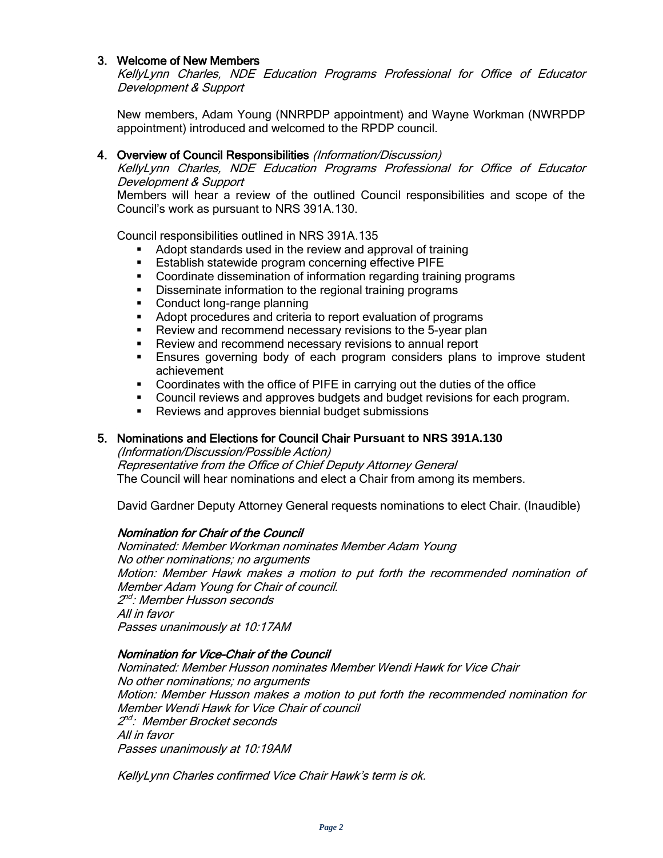#### 3. Welcome of New Members

KellyLynn Charles, NDE Education Programs Professional for Office of Educator Development & Support

New members, Adam Young (NNRPDP appointment) and Wayne Workman (NWRPDP appointment) introduced and welcomed to the RPDP council.

#### 4. Overview of Council Responsibilities (Information/Discussion)

KellyLynn Charles, NDE Education Programs Professional for Office of Educator Development & Support

Members will hear a review of the outlined Council responsibilities and scope of the Council's work as pursuant to NRS 391A.130.

Council responsibilities outlined in NRS 391A.135

- Adopt standards used in the review and approval of training
- **Establish statewide program concerning effective PIFE**
- Coordinate dissemination of information regarding training programs
- Disseminate information to the regional training programs
- Conduct long-range planning
- **Adopt procedures and criteria to report evaluation of programs**
- **Review and recommend necessary revisions to the 5-year plan**
- **Review and recommend necessary revisions to annual report**
- Ensures governing body of each program considers plans to improve student achievement
- Coordinates with the office of PIFE in carrying out the duties of the office
- Council reviews and approves budgets and budget revisions for each program.
- **Reviews and approves biennial budget submissions**

### 5. Nominations and Elections for Council Chair **Pursuant to NRS 391A.130**

(Information/Discussion/Possible Action) Representative from the Office of Chief Deputy Attorney General The Council will hear nominations and elect a Chair from among its members.

David Gardner Deputy Attorney General requests nominations to elect Chair. (Inaudible)

#### Nomination for Chair of the Council

Nominated: Member Workman nominates Member Adam Young No other nominations; no arguments Motion: Member Hawk makes a motion to put forth the recommended nomination of Member Adam Young for Chair of council. 2"<sup>d</sup>: Member Husson seconds All in favor Passes unanimously at 10:17AM

#### Nomination for Vice-Chair of the Council

Nominated: Member Husson nominates Member Wendi Hawk for Vice Chair No other nominations; no arguments Motion: Member Husson makes a motion to put forth the recommended nomination for Member Wendi Hawk for Vice Chair of council 2<sup>nd</sup>: Member Brocket seconds All in favor Passes unanimously at 10:19AM

KellyLynn Charles confirmed Vice Chair Hawk's term is ok.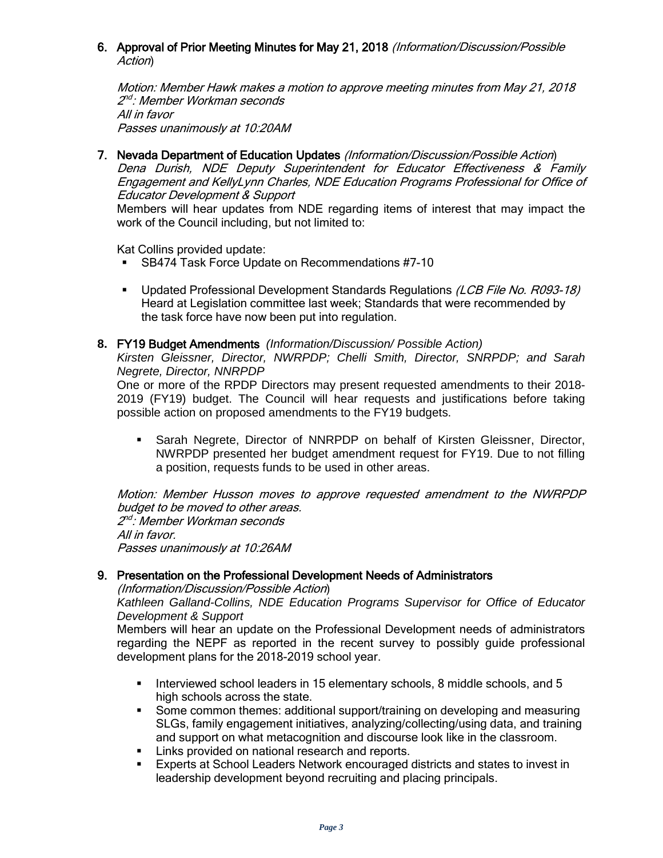#### 6. Approval of Prior Meeting Minutes for May 21, 2018 (Information/Discussion/Possible Action)

Motion: Member Hawk makes a motion to approve meeting minutes from May 21, 2018 2"<sup>d</sup>: Member Workman seconds All in favor Passes unanimously at 10:20AM

7. Nevada Department of Education Updates (Information/Discussion/Possible Action) Dena Durish, NDE Deputy Superintendent for Educator Effectiveness & Family Engagement and KellyLynn Charles, NDE Education Programs Professional for Office of Educator Development & Support

Members will hear updates from NDE regarding items of interest that may impact the work of the Council including, but not limited to:

Kat Collins provided update:

- **SB474 Task Force Update on Recommendations #7-10**
- Updated Professional Development Standards Regulations (LCB File No. R093-18) Heard at Legislation committee last week; Standards that were recommended by the task force have now been put into regulation.

### **8.** FY19 Budget Amendments *(Information/Discussion/ Possible Action)*

*Kirsten Gleissner, Director, NWRPDP; Chelli Smith, Director, SNRPDP; and Sarah Negrete, Director, NNRPDP*

One or more of the RPDP Directors may present requested amendments to their 2018- 2019 (FY19) budget. The Council will hear requests and justifications before taking possible action on proposed amendments to the FY19 budgets.

 Sarah Negrete, Director of NNRPDP on behalf of Kirsten Gleissner, Director, NWRPDP presented her budget amendment request for FY19. Due to not filling a position, requests funds to be used in other areas.

Motion: Member Husson moves to approve requested amendment to the NWRPDP budget to be moved to other areas. 2"<sup>d :</sup> Member Workman seconds All in favor. Passes unanimously at 10:26AM

#### 9. Presentation on the Professional Development Needs of Administrators

(Information/Discussion/Possible Action)

*Kathleen Galland-Collins, NDE Education Programs Supervisor for Office of Educator Development & Support*

Members will hear an update on the Professional Development needs of administrators regarding the NEPF as reported in the recent survey to possibly guide professional development plans for the 2018-2019 school year.

- Interviewed school leaders in 15 elementary schools, 8 middle schools, and 5 high schools across the state.
- Some common themes: additional support/training on developing and measuring SLGs, family engagement initiatives, analyzing/collecting/using data, and training and support on what metacognition and discourse look like in the classroom.
- **EXECT** Links provided on national research and reports.
- Experts at School Leaders Network encouraged districts and states to invest in leadership development beyond recruiting and placing principals.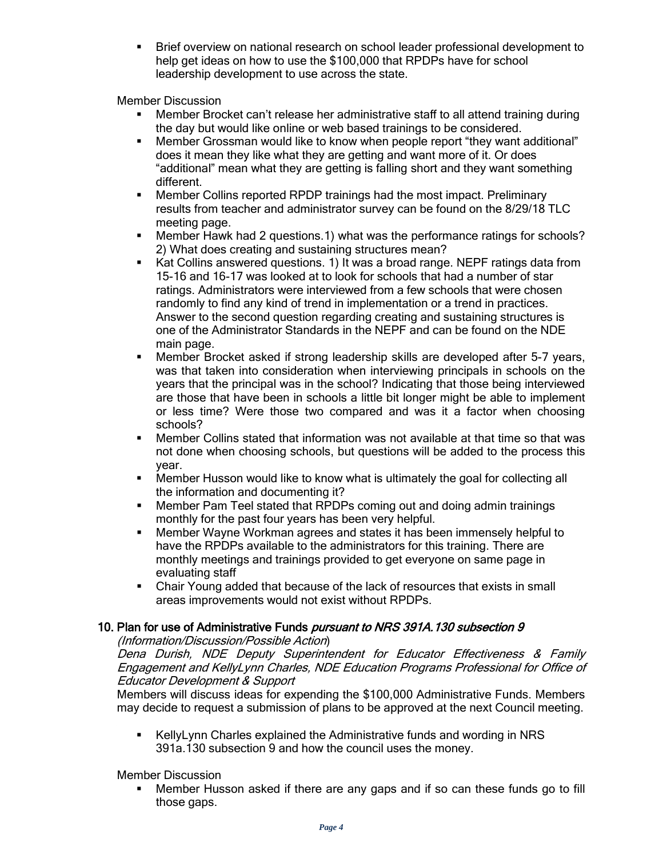Brief overview on national research on school leader professional development to help get ideas on how to use the \$100,000 that RPDPs have for school leadership development to use across the state.

Member Discussion

- Member Brocket can't release her administrative staff to all attend training during the day but would like online or web based trainings to be considered.
- Member Grossman would like to know when people report "they want additional" does it mean they like what they are getting and want more of it. Or does "additional" mean what they are getting is falling short and they want something different.
- Member Collins reported RPDP trainings had the most impact. Preliminary results from teacher and administrator survey can be found on the 8/29/18 TLC meeting page.
- Member Hawk had 2 questions.1) what was the performance ratings for schools? 2) What does creating and sustaining structures mean?
- Kat Collins answered questions. 1) It was a broad range. NEPF ratings data from 15-16 and 16-17 was looked at to look for schools that had a number of star ratings. Administrators were interviewed from a few schools that were chosen randomly to find any kind of trend in implementation or a trend in practices. Answer to the second question regarding creating and sustaining structures is one of the Administrator Standards in the NEPF and can be found on the NDE main page.
- Member Brocket asked if strong leadership skills are developed after 5-7 years, was that taken into consideration when interviewing principals in schools on the years that the principal was in the school? Indicating that those being interviewed are those that have been in schools a little bit longer might be able to implement or less time? Were those two compared and was it a factor when choosing schools?
- Member Collins stated that information was not available at that time so that was not done when choosing schools, but questions will be added to the process this year.
- **Member Husson would like to know what is ultimately the goal for collecting all** the information and documenting it?
- Member Pam Teel stated that RPDPs coming out and doing admin trainings monthly for the past four years has been very helpful.
- Member Wayne Workman agrees and states it has been immensely helpful to have the RPDPs available to the administrators for this training. There are monthly meetings and trainings provided to get everyone on same page in evaluating staff
- Chair Young added that because of the lack of resources that exists in small areas improvements would not exist without RPDPs.

# 10. Plan for use of Administrative Funds pursuant to NRS 391A. 130 subsection 9

#### (Information/Discussion/Possible Action)

Dena Durish, NDE Deputy Superintendent for Educator Effectiveness & Family Engagement and KellyLynn Charles, NDE Education Programs Professional for Office of Educator Development & Support

Members will discuss ideas for expending the \$100,000 Administrative Funds. Members may decide to request a submission of plans to be approved at the next Council meeting.

 KellyLynn Charles explained the Administrative funds and wording in NRS 391a.130 subsection 9 and how the council uses the money.

Member Discussion

 Member Husson asked if there are any gaps and if so can these funds go to fill those gaps.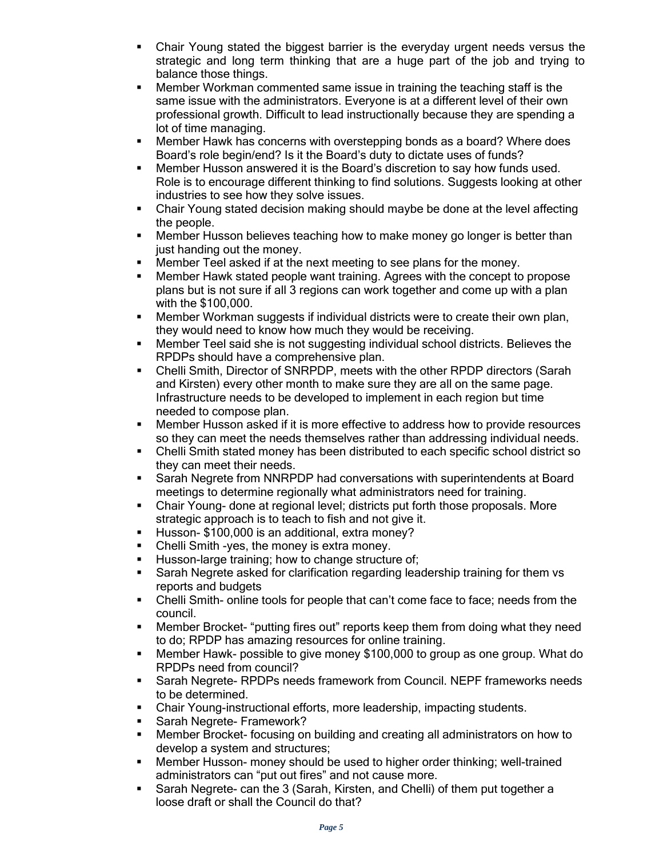- Chair Young stated the biggest barrier is the everyday urgent needs versus the strategic and long term thinking that are a huge part of the job and trying to balance those things.
- **Member Workman commented same issue in training the teaching staff is the** same issue with the administrators. Everyone is at a different level of their own professional growth. Difficult to lead instructionally because they are spending a lot of time managing.
- Member Hawk has concerns with overstepping bonds as a board? Where does Board's role begin/end? Is it the Board's duty to dictate uses of funds?
- Member Husson answered it is the Board's discretion to say how funds used. Role is to encourage different thinking to find solutions. Suggests looking at other industries to see how they solve issues.
- Chair Young stated decision making should maybe be done at the level affecting the people.
- Member Husson believes teaching how to make money go longer is better than just handing out the money.
- **Member Teel asked if at the next meeting to see plans for the money.**
- Member Hawk stated people want training. Agrees with the concept to propose plans but is not sure if all 3 regions can work together and come up with a plan with the \$100,000.
- Member Workman suggests if individual districts were to create their own plan, they would need to know how much they would be receiving.
- Member Teel said she is not suggesting individual school districts. Believes the RPDPs should have a comprehensive plan.
- Chelli Smith, Director of SNRPDP, meets with the other RPDP directors (Sarah and Kirsten) every other month to make sure they are all on the same page. Infrastructure needs to be developed to implement in each region but time needed to compose plan.
- Member Husson asked if it is more effective to address how to provide resources so they can meet the needs themselves rather than addressing individual needs.
- Chelli Smith stated money has been distributed to each specific school district so they can meet their needs.
- Sarah Negrete from NNRPDP had conversations with superintendents at Board meetings to determine regionally what administrators need for training.
- Chair Young- done at regional level; districts put forth those proposals. More strategic approach is to teach to fish and not give it.
- Husson- \$100,000 is an additional, extra money?
- Chelli Smith -yes, the money is extra money.
- Husson-large training; how to change structure of;
- **Sarah Negrete asked for clarification regarding leadership training for them vs** reports and budgets
- Chelli Smith- online tools for people that can't come face to face; needs from the council.
- Member Brocket- "putting fires out" reports keep them from doing what they need to do; RPDP has amazing resources for online training.
- Member Hawk- possible to give money \$100,000 to group as one group. What do RPDPs need from council?
- Sarah Negrete- RPDPs needs framework from Council. NEPF frameworks needs to be determined.
- Chair Young-instructional efforts, more leadership, impacting students.
- Sarah Negrete- Framework?
- Member Brocket- focusing on building and creating all administrators on how to develop a system and structures;
- Member Husson- money should be used to higher order thinking; well-trained administrators can "put out fires" and not cause more.
- Sarah Negrete- can the 3 (Sarah, Kirsten, and Chelli) of them put together a loose draft or shall the Council do that?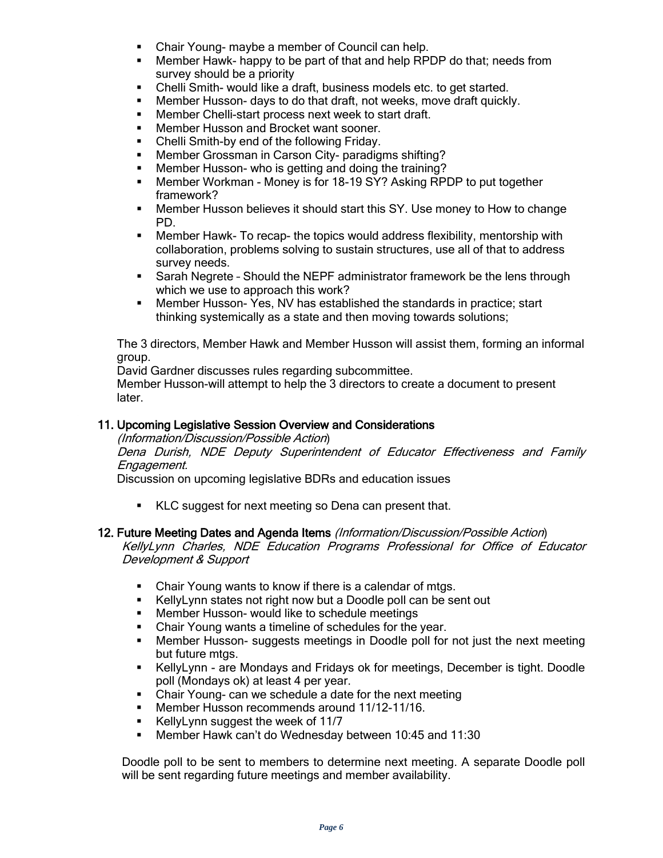- Chair Young- maybe a member of Council can help.
- Member Hawk- happy to be part of that and help RPDP do that; needs from survey should be a priority
- Chelli Smith- would like a draft, business models etc. to get started.
- Member Husson- days to do that draft, not weeks, move draft quickly.
- **Member Chelli-start process next week to start draft.**
- **Member Husson and Brocket want sooner.**
- Chelli Smith-by end of the following Friday.
- Member Grossman in Carson City- paradigms shifting?
- **Member Husson- who is getting and doing the training?**
- Member Workman Money is for 18-19 SY? Asking RPDP to put together framework?
- Member Husson believes it should start this SY. Use money to How to change PD.
- Member Hawk- To recap- the topics would address flexibility, mentorship with collaboration, problems solving to sustain structures, use all of that to address survey needs.
- Sarah Negrete Should the NEPF administrator framework be the lens through which we use to approach this work?
- Member Husson- Yes, NV has established the standards in practice; start thinking systemically as a state and then moving towards solutions;

The 3 directors, Member Hawk and Member Husson will assist them, forming an informal group.

David Gardner discusses rules regarding subcommittee.

Member Husson-will attempt to help the 3 directors to create a document to present later.

#### 11. Upcoming Legislative Session Overview and Considerations

(Information/Discussion/Possible Action)

Dena Durish, NDE Deputy Superintendent of Educator Effectiveness and Family Engagement.

Discussion on upcoming legislative BDRs and education issues

KLC suggest for next meeting so Dena can present that.

#### 12. Future Meeting Dates and Agenda Items (Information/Discussion/Possible Action)

KellyLynn Charles, NDE Education Programs Professional for Office of Educator Development & Support

- Chair Young wants to know if there is a calendar of mtgs.
- KellyLynn states not right now but a Doodle poll can be sent out
- **Member Husson- would like to schedule meetings**
- Chair Young wants a timeline of schedules for the year.
- Member Husson- suggests meetings in Doodle poll for not just the next meeting but future mtgs.
- KellyLynn are Mondays and Fridays ok for meetings, December is tight. Doodle poll (Mondays ok) at least 4 per year.
- Chair Young- can we schedule a date for the next meeting
- **Member Husson recommends around 11/12-11/16.**
- KellyLynn suggest the week of 11/7
- Member Hawk can't do Wednesday between 10:45 and 11:30

Doodle poll to be sent to members to determine next meeting. A separate Doodle poll will be sent regarding future meetings and member availability.